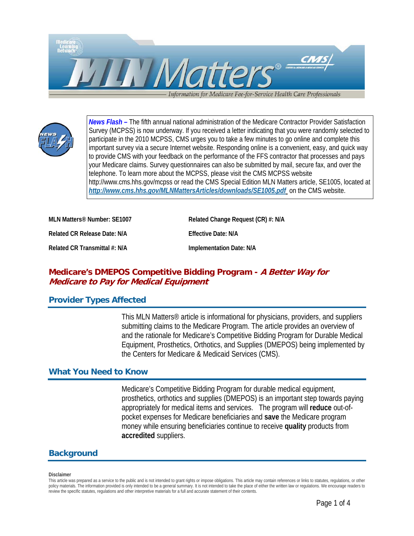



*News Flash –* The fifth annual national administration of the Medicare Contractor Provider Satisfaction Survey (MCPSS) is now underway. If you received a letter indicating that you were randomly selected to participate in the 2010 MCPSS, CMS urges you to take a few minutes to go online and complete this important survey via a secure Internet website. Responding online is a convenient, easy, and quick way to provide CMS with your feedback on the performance of the FFS contractor that processes and pays your Medicare claims. Survey questionnaires can also be submitted by mail, secure fax, and over the telephone. To learn more about the MCPSS, please visit the CMS MCPSS website http://www.cms.hhs.gov/mcpss or read the CMS Special Edition MLN Matters article, SE1005, located at *<http://www.cms.hhs.gov/MLNMattersArticles/downloads/SE1005.pdf>* on the CMS website.

| MLN Matters® Number: SE1007   | Related Change Request (CR) #: N/A |
|-------------------------------|------------------------------------|
| Related CR Release Date: N/A  | <b>Effective Date: N/A</b>         |
| Related CR Transmittal #: N/A | Implementation Date: N/A           |

# **Medicare's DMEPOS Competitive Bidding Program - A Better Way for Medicare to Pay for Medical Equipment**

# **Provider Types Affected**

This MLN Matters® article is informational for physicians, providers, and suppliers submitting claims to the Medicare Program. The article provides an overview of and the rationale for Medicare's Competitive Bidding Program for Durable Medical Equipment, Prosthetics, Orthotics, and Supplies (DMEPOS) being implemented by the Centers for Medicare & Medicaid Services (CMS).

# **What You Need to Know**

Medicare's Competitive Bidding Program for durable medical equipment, prosthetics, orthotics and supplies (DMEPOS) is an important step towards paying appropriately for medical items and services. The program will **reduce** out-ofpocket expenses for Medicare beneficiaries and **save** the Medicare program money while ensuring beneficiaries continue to receive **quality** products from **accredited** suppliers.

# **Background**

#### **Disclaimer**

This article was prepared as a service to the public and is not intended to grant rights or impose obligations. This article may contain references or links to statutes, regulations, or other policy materials. The information provided is only intended to be a general summary. It is not intended to take the place of either the written law or regulations. We encourage readers to review the specific statutes, regulations and other interpretive materials for a full and accurate statement of their contents.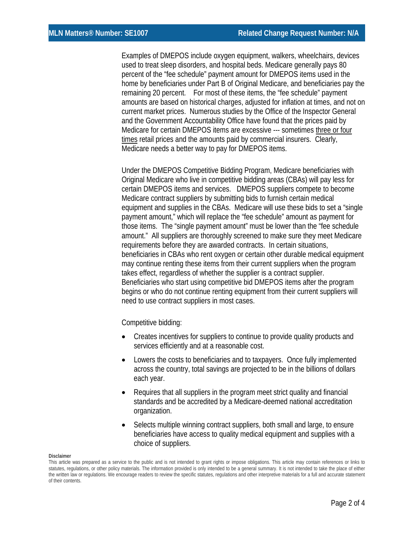Examples of DMEPOS include oxygen equipment, walkers, wheelchairs, devices used to treat sleep disorders, and hospital beds. Medicare generally pays 80 percent of the "fee schedule" payment amount for DMEPOS items used in the home by beneficiaries under Part B of Original Medicare, and beneficiaries pay the remaining 20 percent. For most of these items, the "fee schedule" payment amounts are based on historical charges, adjusted for inflation at times, and not on current market prices. Numerous studies by the Office of the Inspector General and the Government Accountability Office have found that the prices paid by Medicare for certain DMEPOS items are excessive --- sometimes three or four times retail prices and the amounts paid by commercial insurers. Clearly, Medicare needs a better way to pay for DMEPOS items.

Under the DMEPOS Competitive Bidding Program, Medicare beneficiaries with Original Medicare who live in competitive bidding areas (CBAs) will pay less for certain DMEPOS items and services. DMEPOS suppliers compete to become Medicare contract suppliers by submitting bids to furnish certain medical equipment and supplies in the CBAs. Medicare will use these bids to set a "single payment amount," which will replace the "fee schedule" amount as payment for those items. The "single payment amount" must be lower than the "fee schedule amount." All suppliers are thoroughly screened to make sure they meet Medicare requirements before they are awarded contracts. In certain situations, beneficiaries in CBAs who rent oxygen or certain other durable medical equipment may continue renting these items from their current suppliers when the program takes effect, regardless of whether the supplier is a contract supplier. Beneficiaries who start using competitive bid DMEPOS items after the program begins or who do not continue renting equipment from their current suppliers will need to use contract suppliers in most cases.

Competitive bidding:

- Creates incentives for suppliers to continue to provide quality products and services efficiently and at a reasonable cost.
- Lowers the costs to beneficiaries and to taxpayers. Once fully implemented across the country, total savings are projected to be in the billions of dollars each year.
- Requires that all suppliers in the program meet strict quality and financial standards and be accredited by a Medicare-deemed national accreditation organization.
- Selects multiple winning contract suppliers, both small and large, to ensure beneficiaries have access to quality medical equipment and supplies with a choice of suppliers.

#### **Disclaimer**

This article was prepared as a service to the public and is not intended to grant rights or impose obligations. This article may contain references or links to statutes, regulations, or other policy materials. The information provided is only intended to be a general summary. It is not intended to take the place of either the written law or regulations. We encourage readers to review the specific statutes, regulations and other interpretive materials for a full and accurate statement of their contents.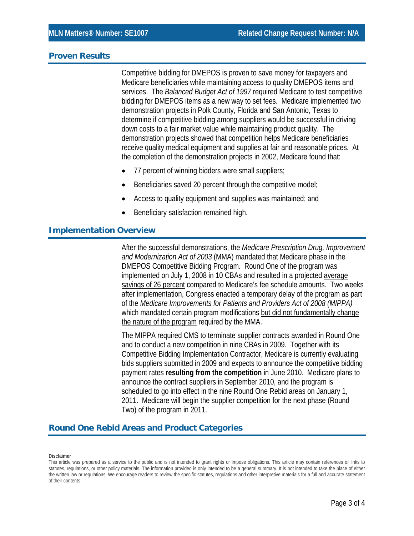#### **Proven Results**

Competitive bidding for DMEPOS is proven to save money for taxpayers and Medicare beneficiaries while maintaining access to quality DMEPOS items and services. The *Balanced Budget Act of 1997* required Medicare to test competitive bidding for DMEPOS items as a new way to set fees. Medicare implemented two demonstration projects in Polk County, Florida and San Antonio, Texas to determine if competitive bidding among suppliers would be successful in driving down costs to a fair market value while maintaining product quality. The demonstration projects showed that competition helps Medicare beneficiaries receive quality medical equipment and supplies at fair and reasonable prices. At the completion of the demonstration projects in 2002, Medicare found that:

- 77 percent of winning bidders were small suppliers;
- Beneficiaries saved 20 percent through the competitive model;
- Access to quality equipment and supplies was maintained; and
- Beneficiary satisfaction remained high.

# **Implementation Overview**

After the successful demonstrations, the *Medicare Prescription Drug, Improvement and Modernization Act of 2003* (MMA) mandated that Medicare phase in the DMEPOS Competitive Bidding Program. Round One of the program was implemented on July 1, 2008 in 10 CBAs and resulted in a projected average savings of 26 percent compared to Medicare's fee schedule amounts. Two weeks after implementation, Congress enacted a temporary delay of the program as part of the *Medicare Improvements for Patients and Providers Act of 2008 (MIPPA)*  which mandated certain program modifications but did not fundamentally change the nature of the program required by the MMA.

The MIPPA required CMS to terminate supplier contracts awarded in Round One and to conduct a new competition in nine CBAs in 2009. Together with its Competitive Bidding Implementation Contractor, Medicare is currently evaluating bids suppliers submitted in 2009 and expects to announce the competitive bidding payment rates **resulting from the competition** in June 2010. Medicare plans to announce the contract suppliers in September 2010, and the program is scheduled to go into effect in the nine Round One Rebid areas on January 1, 2011. Medicare will begin the supplier competition for the next phase (Round Two) of the program in 2011.

# **Round One Rebid Areas and Product Categories**

#### **Disclaimer**

This article was prepared as a service to the public and is not intended to grant rights or impose obligations. This article may contain references or links to statutes, regulations, or other policy materials. The information provided is only intended to be a general summary. It is not intended to take the place of either the written law or regulations. We encourage readers to review the specific statutes, regulations and other interpretive materials for a full and accurate statement of their contents.